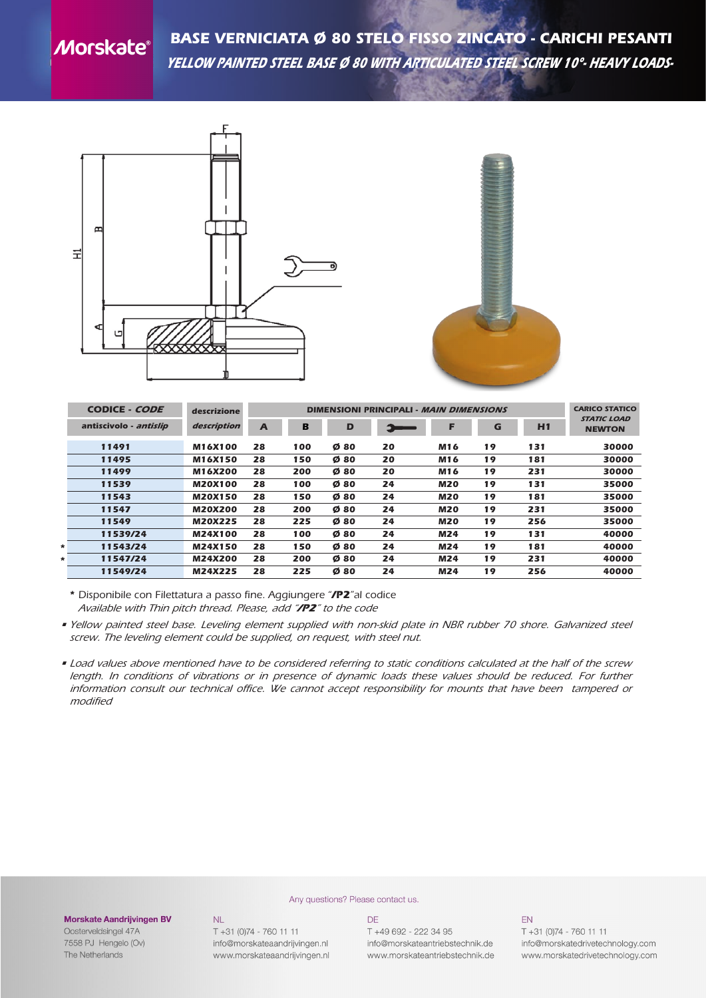# **Morskate®**

*BASE VERNICIATA Ø 80 STELO FISSO ZINCATO - CARICHI PESANTI yellow painted steel base ø 80 with articulated steel screw 10°- heavy loads-*



|   | CODICE - CODE          | descrizione    |    | <b>DIMENSIONI PRINCIPALI - MAIN DIMENSIONS</b> |     |    |            |    |     |                                     |
|---|------------------------|----------------|----|------------------------------------------------|-----|----|------------|----|-----|-------------------------------------|
|   | antiscivolo - antislip | description    | A  | B                                              | D   |    | Е          | G  | H1  | <b>STATIC LOAD</b><br><b>NEWTON</b> |
|   | 11491                  | M16X100        | 28 | 100                                            | Ø80 | 20 | M16        | 19 | 131 | 30000                               |
|   | 11495                  | M16X150        | 28 | 150                                            | Ø80 | 20 | M16        | 19 | 181 | 30000                               |
|   | 11499                  | M16X200        | 28 | 200                                            | Ø80 | 20 | M16        | 19 | 231 | 30000                               |
|   | 11539                  | <b>M20X100</b> | 28 | 100                                            | Ø80 | 24 | <b>M20</b> | 19 | 131 | 35000                               |
|   | 11543                  | <b>M20X150</b> | 28 | 150                                            | Ø80 | 24 | <b>M20</b> | 19 | 181 | 35000                               |
|   | 11547                  | <b>M20X200</b> | 28 | 200                                            | Ø80 | 24 | <b>M20</b> | 19 | 231 | 35000                               |
|   | 11549                  | M20X225        | 28 | 225                                            | Ø80 | 24 | <b>M20</b> | 19 | 256 | 35000                               |
|   | 11539/24               | M24X100        | 28 | 100                                            | Ø80 | 24 | M24        | 19 | 131 | 40000                               |
| * | 11543/24               | M24X150        | 28 | 150                                            | Ø80 | 24 | M24        | 19 | 181 | 40000                               |
| * | 11547/24               | M24X200        | 28 | 200                                            | Ø80 | 24 | M24        | 19 | 231 | 40000                               |
|   | 11549/24               | M24X225        | 28 | 225                                            | Ø80 | 24 | M24        | 19 | 256 | 40000                               |

*\* Disponibile con Filettatura a passo fine. Aggiungere "/P2"al codice Available with Thin pitch thread. Please, add "/P2" to the code*

- Yellow painted steel base. Leveling element supplied with non-skid plate in NBR rubber 70 shore. Galvanized steel *screw. The leveling element could be supplied, on request, with steel nut.*
- . Load values above mentioned have to be considered referring to static conditions calculated at the half of the screw length. In conditions of vibrations or in presence of dynamic loads these values should be reduced. For further *information consult our technical office. We cannot accept responsibility for mounts that have been tampered or modified*

#### **Morskate Aandrijvingen BV**

Oosterveldsingel 47A 7558 PJ Hengelo (Ov) The Netherlands

 $NI$ T +31 (0)74 - 760 11 11 info@morskateaandrijvingen.nl www.morskateaandrijvingen.nl

### Any questions? Please contact us. DE

T +49 692 - 222 34 95 info@morskateantriebstechnik.de www.morskateantriebstechnik.de

## **FN**

 $T + 31 (0)74 - 760 11 11$ info@morskatedrivetechnology.com www.morskatedrivetechnology.com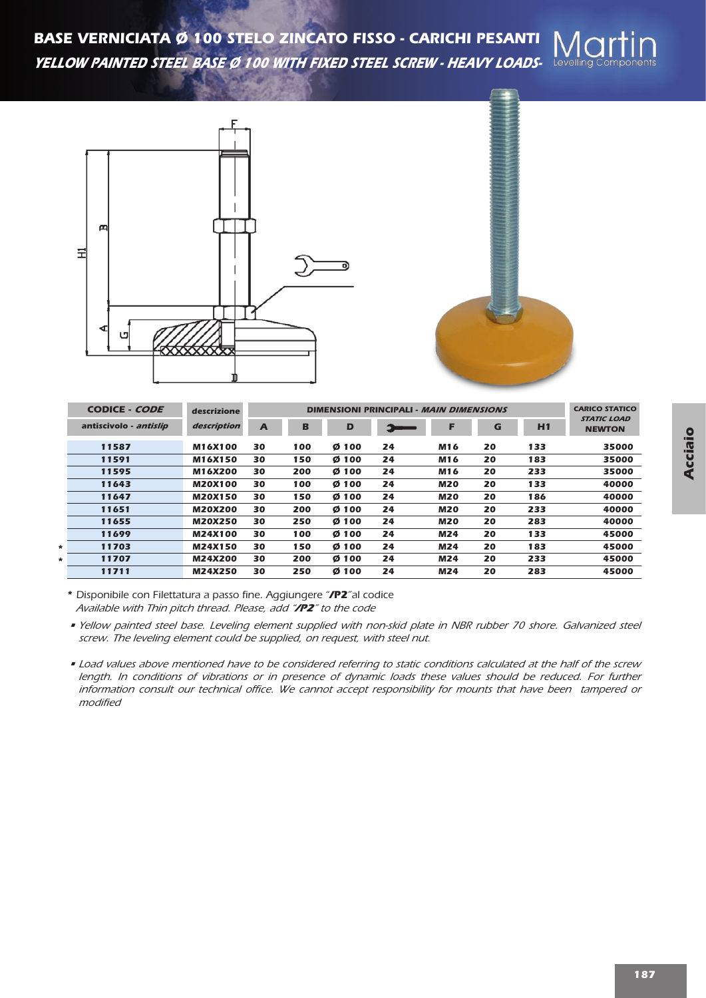*BASE VERNICIATA Ø 100 STELO ZINCATO FISSO - CARICHI PESANTI yellow painted steel base ø 100 with fixed steel screw - heavy loads-*





|        | CODICE - CODE          | descrizione    |                | <b>DIMENSIONI PRINCIPALI - MAIN DIMENSIONS</b> |       |               |            |    |     |                                     |  |
|--------|------------------------|----------------|----------------|------------------------------------------------|-------|---------------|------------|----|-----|-------------------------------------|--|
|        | antiscivolo - antislip | description    | $\overline{A}$ | B                                              | D     | $\rightarrow$ | F          | G  | H1  | <b>STATIC LOAD</b><br><b>NEWTON</b> |  |
|        | 11587                  | M16X100        | 30             | 100                                            | Ø 100 | 24            | M16        | 20 | 133 | 35000                               |  |
|        | 11591                  | M16X150        | 30             | 150                                            | Ø 100 | 24            | M16        | 20 | 183 | 35000                               |  |
|        | 11595                  | M16X200        | 30             | 200                                            | Ø 100 | 24            | M16        | 20 | 233 | 35000                               |  |
|        | 11643                  | <b>M20X100</b> | 30             | 100                                            | Ø 100 | 24            | <b>M20</b> | 20 | 133 | 40000                               |  |
|        | 11647                  | <b>M20X150</b> | 30             | 150                                            | Ø 100 | 24            | <b>M20</b> | 20 | 186 | 40000                               |  |
|        | 11651                  | <b>M20X200</b> | 30             | 200                                            | Ø 100 | 24            | <b>M20</b> | 20 | 233 | 40000                               |  |
|        | 11655                  | <b>M20X250</b> | 30             | 250                                            | Ø 100 | 24            | <b>M20</b> | 20 | 283 | 40000                               |  |
|        | 11699                  | <b>M24X100</b> | 30             | 100                                            | Ø 100 | 24            | M24        | 20 | 133 | 45000                               |  |
| $\ast$ | 11703                  | M24X150        | 30             | 150                                            | Ø 100 | 24            | M24        | 20 | 183 | 45000                               |  |
| *      | 11707                  | M24X200        | 30             | 200                                            | Ø 100 | 24            | M24        | 20 | 233 | 45000                               |  |
|        | 11711                  | M24X250        | 30             | 250                                            | Ø 100 | 24            | <b>M24</b> | 20 | 283 | 45000                               |  |

*\* Disponibile con Filettatura a passo fine. Aggiungere "/P2"al codice Available with Thin pitch thread. Please, add "/P2" to the code*

. Load values above mentioned have to be considered referring to static conditions calculated at the half of the screw length. In conditions of vibrations or in presence of dynamic loads these values should be reduced. For further *information consult our technical office. We cannot accept responsibility for mounts that have been tampered or modified*

<sup>•</sup> Yellow painted steel base. Leveling element supplied with non-skid plate in NBR rubber 70 shore. Galvanized steel *screw. The leveling element could be supplied, on request, with steel nut.*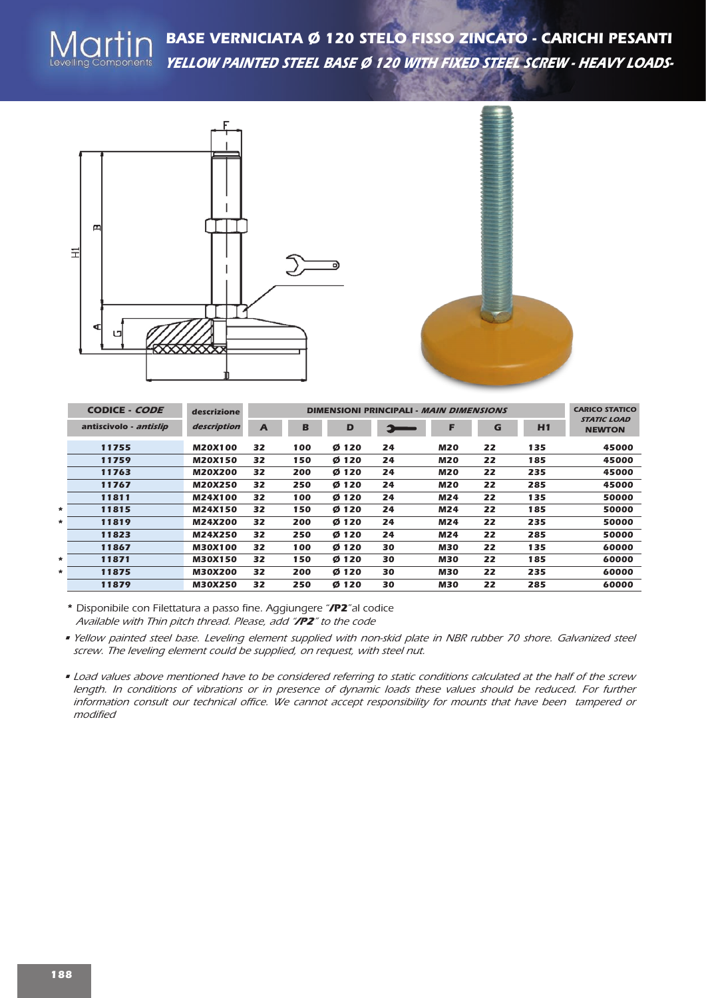*BASE VERNICIATA Ø 120 STELO FISSO ZINCATO - CARICHI PESANTI yellow painted steel base ø 120 with fixed steel screw - heavy loads-*





|        | CODICE - CODE          | descrizione    |                | <b>CARICO STATICO</b> |       |    |            |    |     |                                     |
|--------|------------------------|----------------|----------------|-----------------------|-------|----|------------|----|-----|-------------------------------------|
|        | antiscivolo - antislip | description    | $\overline{A}$ | B                     | D     | 6  | F          | G  | H1  | <b>STATIC LOAD</b><br><b>NEWTON</b> |
|        | 11755                  | <b>M20X100</b> | 32             | 100                   | Ø 120 | 24 | <b>M20</b> | 22 | 135 | 45000                               |
|        | 11759                  | <b>M20X150</b> | 32             | 150                   | Ø 120 | 24 | <b>M20</b> | 22 | 185 | 45000                               |
|        | 11763                  | <b>M20X200</b> | 32             | 200                   | Ø 120 | 24 | <b>M20</b> | 22 | 235 | 45000                               |
|        | 11767                  | M20X250        | 32             | 250                   | Ø 120 | 24 | <b>M20</b> | 22 | 285 | 45000                               |
|        | 11811                  | M24X100        | 32             | 100                   | Ø 120 | 24 | M24        | 22 | 135 | 50000                               |
| $\ast$ | 11815                  | M24X150        | 32             | 150                   | Ø 120 | 24 | M24        | 22 | 185 | 50000                               |
| $\ast$ | 11819                  | M24X200        | 32             | 200                   | Ø 120 | 24 | M24        | 22 | 235 | 50000                               |
|        | 11823                  | M24X250        | 32             | 250                   | Ø 120 | 24 | M24        | 22 | 285 | 50000                               |
|        | 11867                  | <b>M30X100</b> | 32             | 100                   | Ø 120 | 30 | <b>M30</b> | 22 | 135 | 60000                               |
| $\ast$ | 11871                  | <b>M30X150</b> | 32             | 150                   | Ø 120 | 30 | <b>M30</b> | 22 | 185 | 60000                               |
| *      | 11875                  | <b>M30X200</b> | 32             | 200                   | Ø 120 | 30 | <b>M30</b> | 22 | 235 | 60000                               |
|        | 11879                  | <b>M30X250</b> | 32             | 250                   | Ø 120 | 30 | <b>M30</b> | 22 | 285 | 60000                               |

*<sup>\*</sup> Disponibile con Filettatura a passo fine. Aggiungere "/P2"al codice Available with Thin pitch thread. Please, add "/P2" to the code*

. Load values above mentioned have to be considered referring to static conditions calculated at the half of the screw length. In conditions of vibrations or in presence of dynamic loads these values should be reduced. For further *information consult our technical office. We cannot accept responsibility for mounts that have been tampered or modified*

<sup>•</sup> Yellow painted steel base. Leveling element supplied with non-skid plate in NBR rubber 70 shore. Galvanized steel *screw. The leveling element could be supplied, on request, with steel nut.*